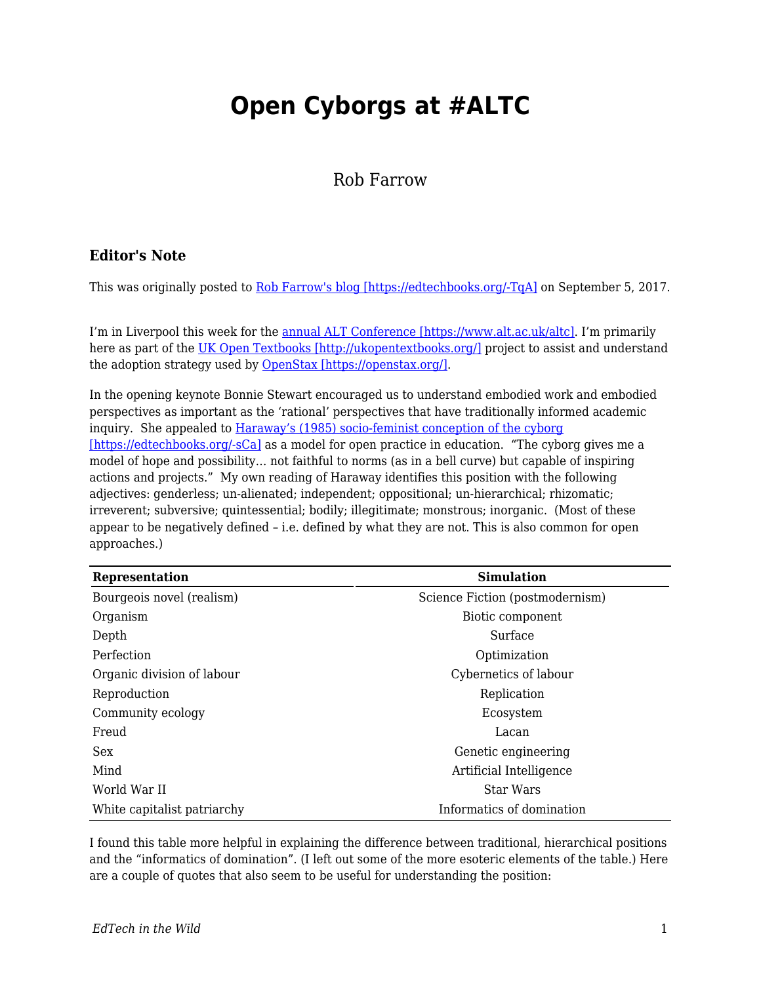## **Open Cyborgs at #ALTC**

## Rob Farrow

## **Editor's Note**

This was originally posted to [Rob Farrow's blog \[https://edtechbooks.org/-TqA\]](https://philosopher1978.wordpress.com/2017/09/05/open-cyborgs-at-altc/) on September 5, 2017.

I'm in Liverpool this week for the [annual ALT Conference \[https://www.alt.ac.uk/altc\]](https://www.alt.ac.uk/altc). I'm primarily here as part of the [UK Open Textbooks \[http://ukopentextbooks.org/\]](http://ukopentextbooks.org/) project to assist and understand the adoption strategy used by [OpenStax \[https://openstax.org/\]](https://openstax.org/).

In the opening keynote Bonnie Stewart encouraged us to understand embodied work and embodied perspectives as important as the 'rational' perspectives that have traditionally informed academic inquiry. She appealed to [Haraway's \(1985\) socio-feminist conception of the cyborg](http://faculty.georgetown.edu/irvinem/theory/Haraway-CyborgManifesto-1.pdf) [\[https://edtechbooks.org/-sCa\]](http://faculty.georgetown.edu/irvinem/theory/Haraway-CyborgManifesto-1.pdf) as a model for open practice in education. "The cyborg gives me a model of hope and possibility… not faithful to norms (as in a bell curve) but capable of inspiring actions and projects." My own reading of Haraway identifies this position with the following adjectives: genderless; un-alienated; independent; oppositional; un-hierarchical; rhizomatic; irreverent; subversive; quintessential; bodily; illegitimate; monstrous; inorganic. (Most of these appear to be negatively defined – i.e. defined by what they are not. This is also common for open approaches.)

| Representation              | <b>Simulation</b>               |
|-----------------------------|---------------------------------|
| Bourgeois novel (realism)   | Science Fiction (postmodernism) |
| Organism                    | Biotic component                |
| Depth                       | Surface                         |
| Perfection                  | Optimization                    |
| Organic division of labour  | Cybernetics of labour           |
| Reproduction                | Replication                     |
| Community ecology           | Ecosystem                       |
| Freud                       | Lacan                           |
| Sex                         | Genetic engineering             |
| Mind                        | Artificial Intelligence         |
| World War II                | <b>Star Wars</b>                |
| White capitalist patriarchy | Informatics of domination       |

I found this table more helpful in explaining the difference between traditional, hierarchical positions and the "informatics of domination". (I left out some of the more esoteric elements of the table.) Here are a couple of quotes that also seem to be useful for understanding the position: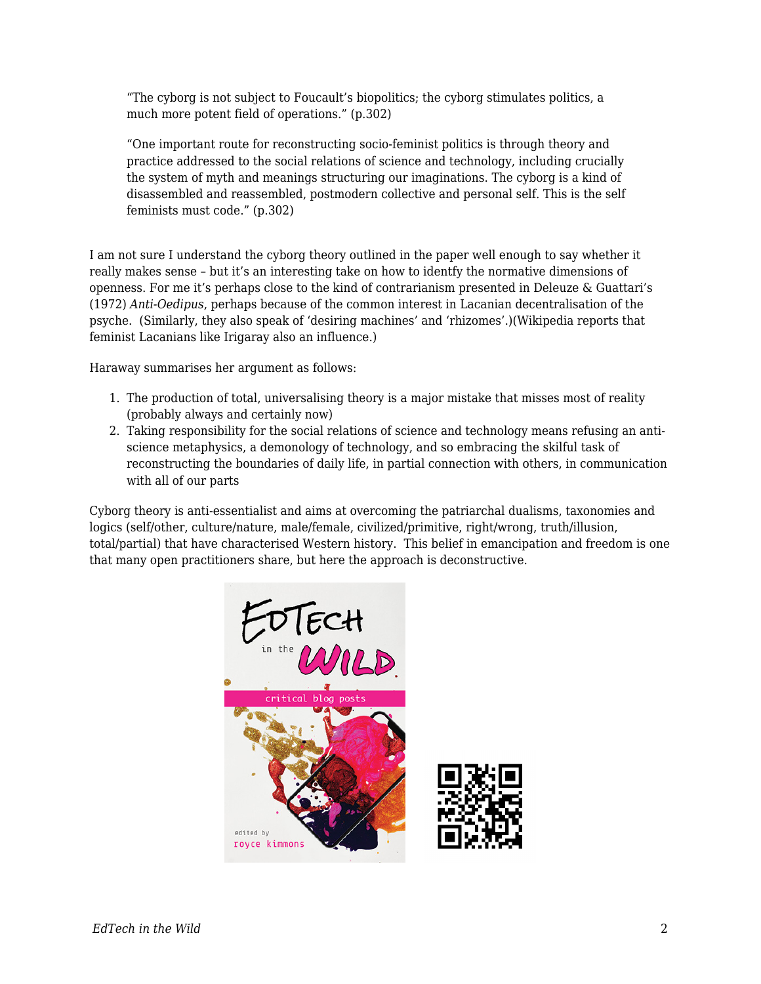"The cyborg is not subject to Foucault's biopolitics; the cyborg stimulates politics, a much more potent field of operations." (p.302)

"One important route for reconstructing socio-feminist politics is through theory and practice addressed to the social relations of science and technology, including crucially the system of myth and meanings structuring our imaginations. The cyborg is a kind of disassembled and reassembled, postmodern collective and personal self. This is the self feminists must code." (p.302)

I am not sure I understand the cyborg theory outlined in the paper well enough to say whether it really makes sense – but it's an interesting take on how to identfy the normative dimensions of openness. For me it's perhaps close to the kind of contrarianism presented in Deleuze & Guattari's (1972) *Anti-Oedipus*, perhaps because of the common interest in Lacanian decentralisation of the psyche. (Similarly, they also speak of 'desiring machines' and 'rhizomes'.)(Wikipedia reports that feminist Lacanians like Irigaray also an influence.)

Haraway summarises her argument as follows:

- 1. The production of total, universalising theory is a major mistake that misses most of reality (probably always and certainly now)
- 2. Taking responsibility for the social relations of science and technology means refusing an antiscience metaphysics, a demonology of technology, and so embracing the skilful task of reconstructing the boundaries of daily life, in partial connection with others, in communication with all of our parts

Cyborg theory is anti-essentialist and aims at overcoming the patriarchal dualisms, taxonomies and logics (self/other, culture/nature, male/female, civilized/primitive, right/wrong, truth/illusion, total/partial) that have characterised Western history. This belief in emancipation and freedom is one that many open practitioners share, but here the approach is deconstructive.